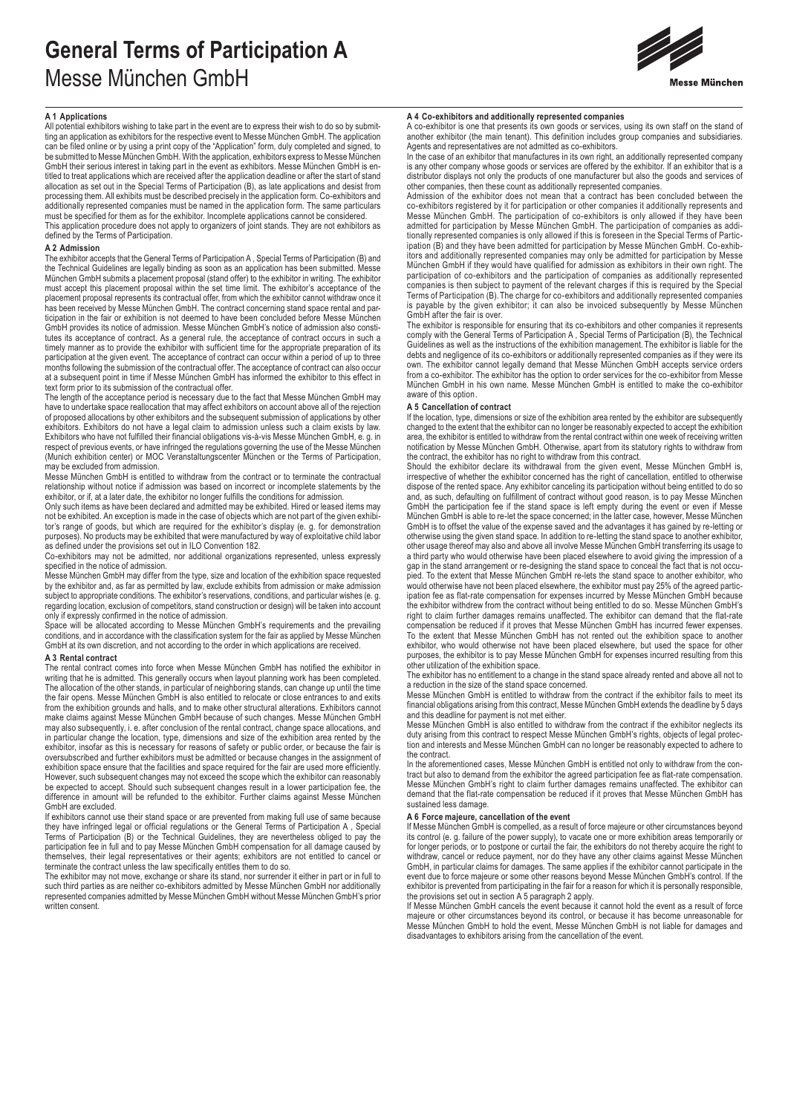# **General Terms of Participation A**  Messe München GmbH



# **A 1 Applications**

All potential exhibitors wishing to take part in the event are to express their wish to do so by submitting an application as exhibitors for the respective event to Messe München GmbH. The application can be filed online or by using a print copy of the "Application" form, duly completed and signed, to be submitted to Messe München GmbH. With the application, exhibitors express to Messe München GmbH their serious interest in taking part in the event as exhibitors. Messe München GmbH is entitled to treat applications which are received after the application deadline or after the start of stand allocation as set out in the Special Terms of Participation (B), as late applications and desist from processing them. All exhibits must be described precisely in the application form. Co-exhibitors and additionally represented companies must be named in the application form. The same particulars must be specified for them as for the exhibitor. Incomplete applications cannot be considered. This application procedure does not apply to organizers of joint stands. They are not exhibitors as defined by the Terms of Participation.

# **A 2 Admission**

The exhibitor accepts that the General Terms of Participation A , Special Terms of Participation (B) and the Technical Guidelines are legally binding as soon as an application has been submitted. Messe München GmbH submits a placement proposal (stand offer) to the exhibitor in writing. The exhibitor must accept this placement proposal within the set time limit. The exhibitor's acceptance of the placement proposal represents its contractual offer, from which the exhibitor cannot withdraw once it has been received by Messe München GmbH. The contract concerning stand space rental and participation in the fair or exhibition is not deemed to have been concluded before Messe München GmbH provides its notice of admission. Messe München GmbH's notice of admission also constitutes its acceptance of contract. As a general rule, the acceptance of contract occurs in such a timely manner as to provide the exhibitor with sufficient time for the appropriate preparation of its participation at the given event. The acceptance of contract can occur within a period of up to three months following the submission of the contractual offer. The acceptance of contract can also occur at a subsequent point in time if Messe München GmbH has informed the exhibitor to this effect in text form prior to its submission of the contractual offer.

The length of the acceptance period is necessary due to the fact that Messe München GmbH may have to undertake space reallocation that may affect exhibitors on account above all of the rejection of proposed allocations by other exhibitors and the subsequent submission of applications by other exhibitors. Exhibitors do not have a legal claim to admission unless such a claim exists by law. Exhibitors who have not fulfilled their financial obligations vis-à-vis Messe München GmbH, e. g. in respect of previous events, or have infringed the regulations governing the use of the Messe München (Munich exhibition center) or MOC Veranstaltungscenter München or the Terms of Participation, may be excluded from admission.

Messe München GmbH is entitled to withdraw from the contract or to terminate the contractual relationship without notice if admission was based on incorrect or incomplete statements by the exhibitor, or if, at a later date, the exhibitor no longer fulfills the conditions for admission.

Only such items as have been declared and admitted may be exhibited. Hired or leased items may not be exhibited. An exception is made in the case of objects which are not part of the given exhibitor's range of goods, but which are required for the exhibitor's display (e. g. for demonstration purposes). No products may be exhibited that were manufactured by way of exploitative child labor as defined under the provisions set out in ILO Convention 182.

Co-exhibitors may not be admitted, nor additional organizations represented, unless expressly

specified in the notice of admission. Messe München GmbH may differ from the type, size and location of the exhibition space requested by the exhibitor and, as far as permitted by law, exclude exhibits from admission or make admission subject to appropriate conditions. The exhibitor's reservations, conditions, and particular wishes (e. g. regarding location, exclusion of competitors, stand construction or design) will be taken into account only if expressly confirmed in the notice of admission.

Space will be allocated according to Messe München GmbH's requirements and the prevailing conditions, and in accordance with the classification system for the fair as applied by Messe München GmbH at its own discretion, and not according to the order in which applications are received.

# **A 3 Rental contract**

The rental contract comes into force when Messe München GmbH has notified the exhibitor in writing that he is admitted. This generally occurs when layout planning work has been completed. The allocation of the other stands, in particular of neighboring stands, can change up until the time the fair opens. Messe München GmbH is also entitled to relocate or close entrances to and exits from the exhibition grounds and halls, and to make other structural alterations. Exhibitors cannot make claims against Messe München GmbH because of such changes. Messe München GmbH may also subsequently, i. e. after conclusion of the rental contract, change space allocations, and in particular change the location, type, dimensions and size of the exhibition area rented by the<br>exhibitor, insofar as this is necessary for reasons of safety or public order, or because the fair is<br>oversubscribed and fur exhibition space ensure that the facilities and space required for the fair are used more efficiently.<br>However, such subsequent changes may not exceed the scope which the exhibitor can reasonably<br>be expected to accept. Sho difference in amount will be refunded to the exhibitor. Further claims against Messe München GmbH are excluded.

If exhibitors cannot use their stand space or are prevented from making full use of same because they have infringed legal or official regulations or the General Terms of Participation A , Special Terms of Participation (B) or the Technical Guidelines, they are nevertheless obliged to pay the participation fee in full and to pay Messe München GmbH compensation for all damage caused by themselves, their legal representatives or their agents; exhibitors are not entitled to cancel or<br>terminate the contract unless the law specifically entitles them to do so.<br>The exhibitor may not move, exchange or share its

such third parties as are neither co-exhibitors admitted by Messe München GmbH nor additionally represented companies admitted by Messe München GmbH without Messe München GmbH's prior written consent.

# **A 4 Co-exhibitors and additionally represented companies**

A co-exhibitor is one that presents its own goods or services, using its own staff on the stand of another exhibitor (the main tenant). This definition includes group companies and subsidiaries. Agents and representatives are not admitted as co-exhibitors.

In the case of an exhibitor that manufactures in its own right, an additionally represented company is any other company whose goods or services are offered by the exhibitor. If an exhibitor that is a distributor displays not only the products of one manufacturer but also the goods and services of other companies, then these count as additionally represented companies.

Admission of the exhibitor does not mean that a contract has been concluded between the со-exhibitors registered by it for participation or other companies it additionally represents and<br>Messe München GmbH. The participation of co-exhibitors is only allowed if they have been<br>admitted for participation by Mes tionally represented companies is only allowed if this is foreseen in the Special Terms of Partic-ipation (B) and they have been admitted for participation by Messe München GmbH. Co-exhibitors and additionally represented companies may only be admitted for participation by Messe München GmbH if they would have qualified for admission as exhibitors in their own right. The participation of co-exhibitors and the participation of companies as additionally represented companies is then subject to payment of the relevant charges if this is required by the Special Terms of Participation (B). The charge for co-exhibitors and additionally represented companies is payable by the given exhibitor; it can also be invoiced subsequently by Messe München GmbH after the fair is over.

The exhibitor is responsible for ensuring that its co-exhibitors and other companies it represents comply with the General Terms of Participation A , Special Terms of Participation (B), the Technical Guidelines as well as the instructions of the exhibition management. The exhibitor is liable for the debts and negligence of its co-exhibitors or additionally represented companies as if they were its own. The exhibitor cannot legally demand that Messe München GmbH accepts service orders from a co-exhibitor. The exhibitor has the option to order services for the co-exhibitor from Messe München GmbH in his own name. Messe München GmbH is entitled to make the co-exhibitor aware of this option.

### **A 5 Cancellation of contract**

If the location, type, dimensions or size of the exhibition area rented by the exhibitor are subsequently changed to the extent that the exhibitor can no longer be reasonably expected to accept the exhibition area, the exhibitor is entitled to withdraw from the rental contract within one week of receiving written notification by Messe München GmbH. Otherwise, apart from its statutory rights to withdraw from the contract, the exhibitor has no right to withdraw from this contract.

Should the exhibitor declare its withdrawal from the given event, Messe München GmbH is, irrespective of whether the exhibitor concerned has the right of cancellation, entitled to otherwise dispose of the rented space. Any exhibitor canceling its participation without being entitled to do so and, as such, defaulting on fulfillment of contract without good reason, is to pay Messe München GmbH the participation fee if the stand space is left empty during the event or even if Messe München GmbH is able to re-let the space concerned; in the latter case, however, Messe München GmbH is to offset the value of the expense saved and the advantages it has gained by re-letting or otherwise using the given stand space. In addition to re-letting the stand space to another exhibitor, other usage thereof may also and above all involve Messe München GmbH transferring its usage to a third party who would otherwise have been placed elsewhere to avoid giving the impression of a gap in the stand arrangement or re-designing the stand space to conceal the fact that is not occu-pied. To the extent that Messe München GmbH re-lets the stand space to another exhibitor, who would otherwise have not been placed elsewhere, the exhibitor must pay 25% of the agreed participation fee as flat-rate compensation for expenses incurred by Messe München GmbH because<br>the exhibitor withdrew from the contract without being entitled to do so. Messe München GmbH's<br>right to claim further damages remain exhibitor, who would otherwise not have been placed elsewhere, but used the space for other purposes, the exhibitor is to pay Messe München GmbH for expenses incurred resulting from this other utilization of the exhibition space.

The exhibitor has no entitlement to a change in the stand space already rented and above all not to

a reduction in the size of the stand space concerned. Messe München GmbH is entitled to withdraw from the contract if the exhibitor fails to meet its financial obligations arising from this contract, Messe München GmbH extends the deadline by 5 days

and this deadline for payment is not met either. Messe München GmbH is also entitled to withdraw from the contract if the exhibitor neglects its duty arising from this contract to respect Messe München GmbH's rights, objects of legal protection and interests and Messe München GmbH can no longer be reasonably expected to adhere to the contract.

In the aforementioned cases, Messe München GmbH is entitled not only to withdraw from the contract but also to demand from the exhibitor the agreed participation fee as flat-rate compensation. Messe München GmbH's right to claim further damages remains unaffected. The exhibitor can demand that the flat-rate compensation be reduced if it proves that Messe München GmbH has sustained less damage.

## **A 6 Force majeure, cancellation of the event**

If Messe München GmbH is compelled, as a result of force majeure or other circumstances beyond its control (e. g. failure of the power supply), to vacate one or more exhibition areas temporarily or for longer periods, or to postpone or curtail the fair, the exhibitors do not thereby acquire the right to withdraw, cancel or reduce payment, nor do they have any other claims against Messe München<br>GmbH, in particular claims for damages. The same applies if the exhibitor cannot participate in the<br>event due to force majeure or exhibitor is prevented from participating in the fair for a reason for which it is personally responsible,<br>the provisions set out in section A 5 paragraph 2 apply.<br>If Messe München GmbH cancels the event because it cannot

majeure or other circumstances beyond its control, or because it has become unreasonable for Messe München GmbH to hold the event, Messe München GmbH is not liable for damages and disadvantages to exhibitors arising from the cancellation of the event.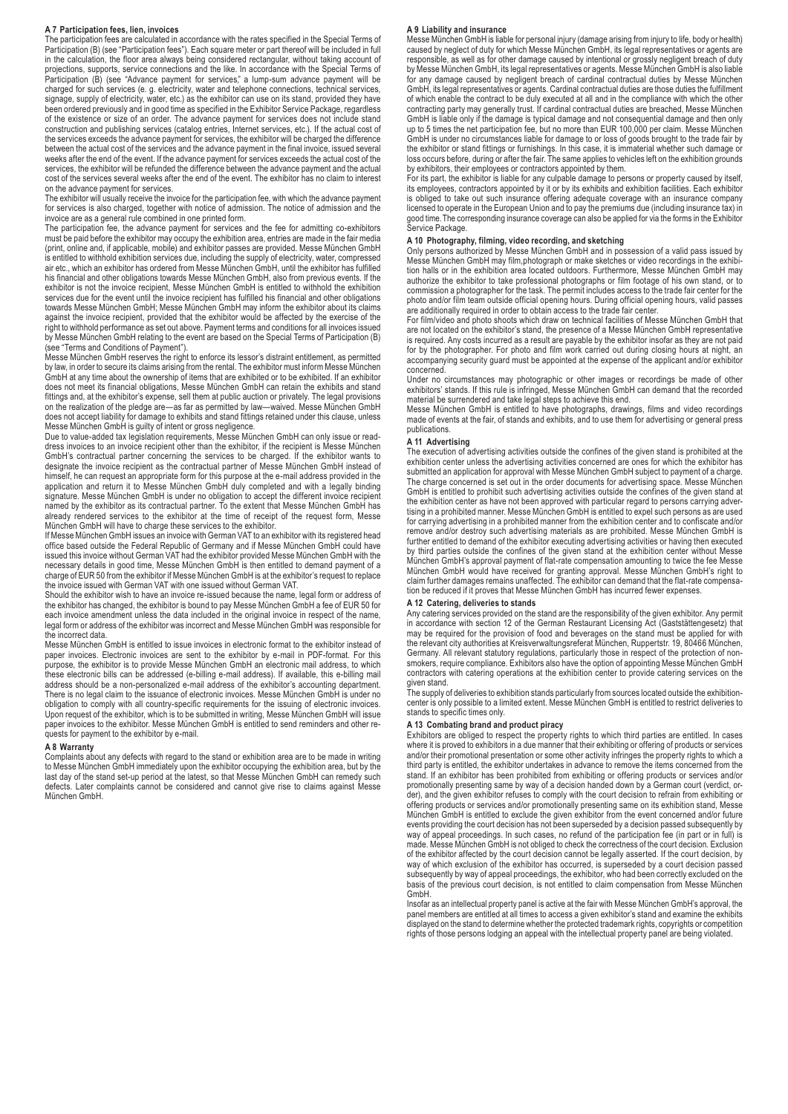#### **A 7 Participation fees, lien, invoices**

The participation fees are calculated in accordance with the rates specified in the Special Terms of Participation (B) (see "Participation fees"). Each square meter or part thereof will be included in full in the calculation, the floor area always being considered rectangular, without taking account of projections, supports, service connections and the like. In accordance with the Special Terms of Participation (B) (see "Advance payment for services," a lump-sum advance payment will be charged for such services (e. g. electricity, water and telephone connections, technical services, signage, supply of electricity, water, etc.) as the exhibitor can use on its stand, provided they have been ordered previously and in good time as specified in the Exhibitor Service Package, regardless of the existence or size of an order. The advance payment for services does not include stand construction and publishing services (catalog entries, Internet services, etc.). If the actual cost of the services exceeds the advance payment for services, the exhibitor will be charged the difference between the actual cost of the services and the advance payment in the final invoice, issued several weeks after the end of the event. If the advance payment for services exceeds the actual cost of the services, the exhibitor will be refunded the difference between the advance payment and the actual cost of the services several weeks after the end of the event. The exhibitor has no claim to interest on the advance payment for services.

The exhibitor will usually receive the invoice for the participation fee, with which the advance payment for services is also charged, together with notice of admission. The notice of admission and the

invoice are as a general rule combined in one printed form. The participation fee, the advance payment for services and the fee for admitting co-exhibitors must be paid before the exhibitor may occupy the exhibition area, entries are made in the fair media (print, online and, if applicable, mobile) and exhibitor passes are provided. Messe München GmbH is entitled to withhold exhibition services due, including the supply of electricity, water, compressed air etc., which an exhibitor has ordered from Messe München GmbH, until the exhibitor has fulfilled his financial and other obligations towards Messe München GmbH, also from previous events. If the exhibitor is not the invoice recipient, Messe München GmbH is entitled to withhold the exhibition services due for the event until the invoice recipient has fulfilled his financial and other obligations towards Messe München GmbH; Messe München GmbH may inform the exhibitor about its claims against the invoice recipient, provided that the exhibitor would be affected by the exercise of the right to withhold performance as set out above. Payment terms and conditions for all invoices issued by Messe München GmbH relating to the event are based on the Special Terms of Participation (B) (see "Terms and Conditions of Payment").

Messe München GmbH reserves the right to enforce its lessor's distraint entitlement, as permitted by law, in order to secure its claims arising from the rental. The exhibitor must inform Messe München GmbH at any time about the ownership of items that are exhibited or to be exhibited. If an exhibitor does not meet its financial obligations, Messe München GmbH can retain the exhibits and stand fittings and, at the exhibitor's expense, sell them at public auction or privately. The legal provisions on the realization of the pledge are—as far as permitted by law—waived. Messe München GmbH does not accept liability for damage to exhibits and stand fittings retained under this clause, unless Messe München GmbH is guilty of intent or gross negligence.

Due to value-added tax legislation requirements, Messe München GmbH can only issue or read-dress invoices to an invoice recipient other than the exhibitor, if the recipient is Messe München GmbH's contractual partner concerning the services to be charged. If the exhibitor wants to designate the invoice recipient as the contractual partner of Messe München GmbH instead of himself, he can request an appropriate form for this purpose at the e-mail address provided in the application and return it to Messe München GmbH duly completed and with a legally binding signature. Messe München GmbH is under no obligation to accept the different invoice recipient named by the exhibitor as its contractual partner. To the extent that Messe München GmbH has already rendered services to the exhibitor at the time of receipt of the request form, Messe

München GmbH will have to charge these services to the exhibitor. If Messe München GmbH issues an invoice with German VAT to an exhibitor with its registered head office based outside the Federal Republic of Germany and if Messe München GmbH could have issued this invoice without German VAT had the exhibitor provided Messe München GmbH with the necessary details in good time, Messe München GmbH is then entitled to demand payment of a charge of EUR 50 from the exhibitor if Messe München GmbH is at the exhibitor's request to replace

the invoice issued with German VAT with one issued without German VAT. Should the exhibitor wish to have an invoice re-issued because the name, legal form or address of the exhibitor has changed, the exhibitor is bound to pay Messe München GmbH a fee of EUR 50 for each invoice amendment unless the data included in the original invoice in respect of the name, legal form or address of the exhibitor was incorrect and Messe München GmbH was responsible for the incorrect data

Messe München GmbH is entitled to issue invoices in electronic format to the exhibitor instead of paper invoices. Electronic invoices are sent to the exhibitor by e-mail in PDF-format. For this purpose, the exhibitor is to provide Messe München GmbH an electronic mail address, to which these electronic bills can be addressed (e-billing e-mail address). If available, this e-billing mail address should be a non-personalized e-mail address of the exhibitor's accounting department. There is no legal claim to the issuance of electronic invoices. Messe München GmbH is under no obligation to comply with all country-specific requirements for the issuing of electronic invoices. Upon request of the exhibitor, which is to be submitted in writing, Messe München GmbH will issue paper invoices to the exhibitor. Messe München GmbH is entitled to send reminders and other requests for payment to the exhibitor by e-mail.

#### **A 8 Warranty**

Complaints about any defects with regard to the stand or exhibition area are to be made in writing to Messe München GmbH immediately upon the exhibitor occupying the exhibition area, but by the last day of the stand set-up period at the latest, so that Messe München GmbH can remedy such defects. Later complaints cannot be considered and cannot give rise to claims against Messe München GmbH.

#### **A 9 Liability and insurance**

Messe München GmbH is liable for personal injury (damage arising from injury to life, body or health) caused by neglect of duty for which Messe München GmbH, its legal representatives or agents are responsible, as well as for other damage caused by intentional or grossly negligent breach of duty by Messe München GmbH, its legal representatives or agents. Messe München GmbH is also liable for any damage caused by negligent breach of cardinal contractual duties by Messe München GmbH, its legal representatives or agents. Cardinal contractual duties are those duties the fulfillment of which enable the contract to be duly executed at all and in the compliance with which the other contracting party may generally trust. If cardinal contractual duties are breached, Messe München GmbH is liable only if the damage is typical damage and not consequential damage and then only up to 5 times the net participation fee, but no more than EUR 100,000 per claim. Messe München GmbH is under no circumstances liable for damage to or loss of goods brought to the trade fair by the exhibitor or stand fittings or furnishings. In this case, it is immaterial whether such damage or loss occurs before, during or after the fair. The same applies to vehicles left on the exhibition grounds

by exhibitors, their employees or contractors appointed by them. For its part, the exhibitor is liable for any culpable damage to persons or property caused by itself, its employees, contractors appointed by it or by its exhibits and exhibition facilities. Each exhibitor is obliged to take out such insurance offering adequate coverage with an insurance company licensed to operate in the European Union and to pay the premiums due (including insurance tax) in good time. The corresponding insurance coverage can also be applied for via the forms in the Exhibitor Service Package.

**A 10 Photography, filming, video recording, and sketching**<br>Only persons authorized by Messe München GmbH and in possession of a valid pass issued by<br>Messe München GmbH may film,photograph or make sketches or video record tion halls or in the exhibition area located outdoors. Furthermore, Messe München GmbH may authorize the exhibitor to take professional photographs or film footage of his own stand, or to commission a photographer for the task. The permit includes access to the trade fair center for the photo and/or film team outside official opening hours. During official opening hours, valid passes

are additionally required in order to obtain access to the trade fair center. For film/video and photo shoots which draw on technical facilities of Messe München GmbH that are not located on the exhibitor's stand, the presence of a Messe München GmbH representative is required. Any costs incurred as a result are payable by the exhibitor insofar as they are not paid for by the photographer. For photo and film work carried out during closing hours at night, an accompanying security guard must be appointed at the expense of the applicant and/or exhibitor concerned.

Under no circumstances may photographic or other images or recordings be made of other exhibitors' stands. If this rule is infringed, Messe München GmbH can demand that the recorded

material be surrendered and take legal steps to achieve this end. Messe München GmbH is entitled to have photographs, drawings, films and video recordings made of events at the fair, of stands and exhibits, and to use them for advertising or general press publications.

#### **A 11 Advertising**

The execution of advertising activities outside the confines of the given stand is prohibited at the exhibition center unless the advertising activities concerned are ones for which the exhibitor has submitted an application for approval with Messe München GmbH subject to payment of a charge. The charge concerned is set out in the order documents for advertising space. Messe München GmbH is entitled to prohibit such advertising activities outside the confines of the given stand at the exhibition center as have not been approved with particular regard to persons carrying advertising in a prohibited manner. Messe München GmbH is entitled to expel such persons as are used for carrying advertising in a prohibited manner from the exhibition center and to confiscate and/or remove and/or destroy such advertising materials as are prohibited. Messe München GmbH is further entitled to demand of the exhibitor executing advertising activities or having then executed by third parties outside the confines of the given stand at the exhibition center without Messe München GmbH's approval payment of flat-rate compensation amounting to twice the fee Messe München GmbH would have received for granting approval. Messe München GmbH's right to<br>claim further damages remains unaffected. The exhibitor can demand that the flat-rate compensa-<br>tion be reduced if it proves that Messe

#### **A 12 Catering, deliveries to stands**

Any catering services provided on the stand are the responsibility of the given exhibitor. Any permit in accordance with section 12 of the German Restaurant Licensing Act (Gaststättengesetz) that may be required for the provision of food and beverages on the stand must be applied for with the relevant city authorities at Kreisverwaltungsreferat München, Ruppertstr. 19, 80466 München, Germany. All relevant statutory regulations, particularly those in respect of the protection of nonsmokers, require compliance. Exhibitors also have the option of appointing Messe München GmbH contractors with catering operations at the exhibition center to provide catering services on the

given stand.<br>The supply of deliveries to exhibition stands particularly from sources located outside the exhibition-<br>center is only possible to a limited extent. Messe München GmbH is entitled to restrict deliveries to<br>sta

#### **A 13 Combating brand and product piracy**

Exhibitors are obliged to respect the property rights to which third parties are entitled. In cases where it is proved to exhibitors in a due manner that their exhibiting or offering of products or services and/or their promotional presentation or some other activity infringes the property rights to which a third party is entitled, the exhibitor undertakes in advance to remove the items concerned from the stand. If an exhibitor has been prohibited from exhibiting or offering products or services and/or promotionally presenting same by way of a decision handed down by a German court (verdict, or-der), and the given exhibitor refuses to comply with the court decision to refrain from exhibiting or offering products or services and/or promotionally presenting same on its exhibition stand, Messe München GmbH is entitled to exclude the given exhibitor from the event concerned and/or future events providing the court decision has not been superseded by a decision passed subsequently by way of appeal proceedings. In such cases, no refund of the participation fee (in part or in full) is made. Messe München GmbH is not obliged to check the correctness of the court decision. Exclusion of the exhibitor affected by the court decision cannot be legally asserted. If the court decision, by way of which exclusion of the exhibitor has occurred, is superseded by a court decision passed subsequently by way of appeal proceedings, the exhibitor, who had been correctly excluded on the basis of the previous court decision, is not entitled to claim compensation from Messe München GmbH.

Insofar as an intellectual property panel is active at the fair with Messe München GmbH's approval, the panel members are entitled at all times to access a given exhibitor's stand and examine the exhibits displayed on the stand to determine whether the protected trademark rights, copyrights or competition rights of those persons lodging an appeal with the intellectual property panel are being violated.